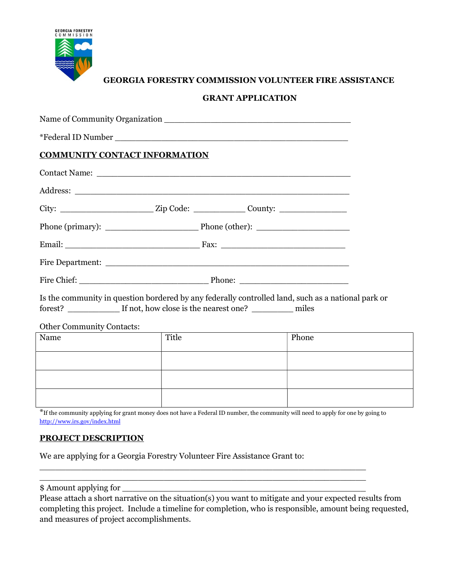

# GEORGIA FORESTRY COMMISSION VOLUNTEER FIRE ASSISTANCE

# GRANT APPLICATION

| <b>COMMUNITY CONTACT INFORMATION</b> |  |                                                                                                                                                                                      |  |
|--------------------------------------|--|--------------------------------------------------------------------------------------------------------------------------------------------------------------------------------------|--|
|                                      |  |                                                                                                                                                                                      |  |
|                                      |  |                                                                                                                                                                                      |  |
|                                      |  |                                                                                                                                                                                      |  |
|                                      |  |                                                                                                                                                                                      |  |
|                                      |  |                                                                                                                                                                                      |  |
|                                      |  |                                                                                                                                                                                      |  |
|                                      |  |                                                                                                                                                                                      |  |
|                                      |  | Is the community in question bordered by any federally controlled land, such as a national park or<br>forest? <u>_________</u> If not, how close is the nearest one? _________ miles |  |
| <b>Other Community Contacts:</b>     |  |                                                                                                                                                                                      |  |

# Name and Phone and Phone Phone Phone Phone Phone Phone Phone Phone Phone Phone Phone Phone Phone Phone Phone P

\*If the community applying for grant money does not have a Federal ID number, the community will need to apply for one by going to http://www.irs.gov/index.html

\_\_\_\_\_\_\_\_\_\_\_\_\_\_\_\_\_\_\_\_\_\_\_\_\_\_\_\_\_\_\_\_\_\_\_\_\_\_\_\_\_\_\_\_\_\_\_\_\_\_\_\_\_\_\_\_\_\_\_\_\_\_\_ \_\_\_\_\_\_\_\_\_\_\_\_\_\_\_\_\_\_\_\_\_\_\_\_\_\_\_\_\_\_\_\_\_\_\_\_\_\_\_\_\_\_\_\_\_\_\_\_\_\_\_\_\_\_\_\_\_\_\_\_\_\_\_

# PROJECT DESCRIPTION

We are applying for a Georgia Forestry Volunteer Fire Assistance Grant to:

\$ Amount applying for

Please attach a short narrative on the situation(s) you want to mitigate and your expected results from completing this project. Include a timeline for completion, who is responsible, amount being requested, and measures of project accomplishments.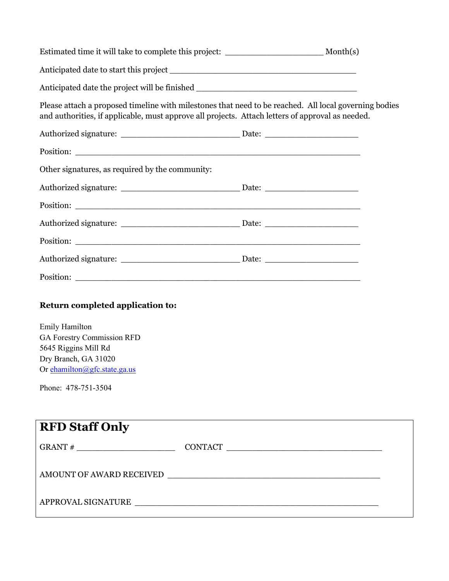| Estimated time it will take to complete this project: __________________________ Month(s)                                                                                                                 |  |
|-----------------------------------------------------------------------------------------------------------------------------------------------------------------------------------------------------------|--|
|                                                                                                                                                                                                           |  |
| Anticipated date the project will be finished ___________________________________                                                                                                                         |  |
| Please attach a proposed timeline with milestones that need to be reached. All local governing bodies<br>and authorities, if applicable, must approve all projects. Attach letters of approval as needed. |  |
|                                                                                                                                                                                                           |  |
|                                                                                                                                                                                                           |  |
| Other signatures, as required by the community:                                                                                                                                                           |  |
|                                                                                                                                                                                                           |  |
|                                                                                                                                                                                                           |  |
|                                                                                                                                                                                                           |  |
|                                                                                                                                                                                                           |  |
|                                                                                                                                                                                                           |  |
|                                                                                                                                                                                                           |  |
| Return completed application to:                                                                                                                                                                          |  |
| Emily Hamilton<br><b>GA Forestry Commission RFD</b><br>5645 Riggins Mill Rd<br>Dry Branch, GA 31020<br>Or ehamilton@gfc.state.ga.us                                                                       |  |
| Phone: 478-751-3504                                                                                                                                                                                       |  |
| <b>RFD Staff Only</b>                                                                                                                                                                                     |  |
|                                                                                                                                                                                                           |  |
| AMOUNT OF AWARD RECEIVED                                                                                                                                                                                  |  |
|                                                                                                                                                                                                           |  |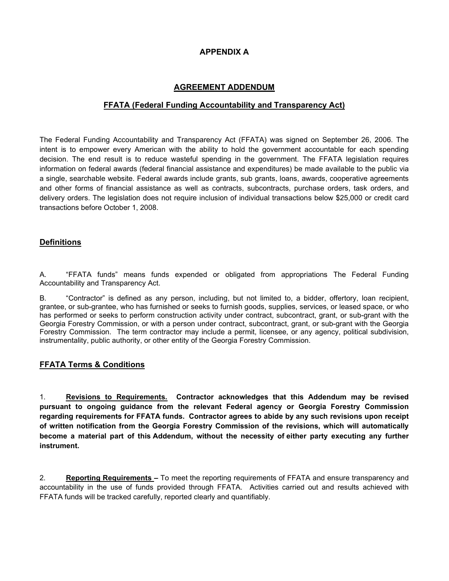## APPENDIX A

## AGREEMENT ADDENDUM

## FFATA (Federal Funding Accountability and Transparency Act)

The Federal Funding Accountability and Transparency Act (FFATA) was signed on September 26, 2006. The intent is to empower every American with the ability to hold the government accountable for each spending decision. The end result is to reduce wasteful spending in the government. The FFATA legislation requires information on federal awards (federal financial assistance and expenditures) be made available to the public via a single, searchable website. Federal awards include grants, sub grants, loans, awards, cooperative agreements and other forms of financial assistance as well as contracts, subcontracts, purchase orders, task orders, and delivery orders. The legislation does not require inclusion of individual transactions below \$25,000 or credit card transactions before October 1, 2008.

#### **Definitions**

A. "FFATA funds" means funds expended or obligated from appropriations The Federal Funding Accountability and Transparency Act.

B. "Contractor" is defined as any person, including, but not limited to, a bidder, offertory, loan recipient, grantee, or sub-grantee, who has furnished or seeks to furnish goods, supplies, services, or leased space, or who has performed or seeks to perform construction activity under contract, subcontract, grant, or sub-grant with the Georgia Forestry Commission, or with a person under contract, subcontract, grant, or sub-grant with the Georgia Forestry Commission. The term contractor may include a permit, licensee, or any agency, political subdivision, instrumentality, public authority, or other entity of the Georgia Forestry Commission.

#### FFATA Terms & Conditions

1. Revisions to Requirements. Contractor acknowledges that this Addendum may be revised pursuant to ongoing guidance from the relevant Federal agency or Georgia Forestry Commission regarding requirements for FFATA funds. Contractor agrees to abide by any such revisions upon receipt of written notification from the Georgia Forestry Commission of the revisions, which will automatically become a material part of this Addendum, without the necessity of either party executing any further instrument.

2. Reporting Requirements – To meet the reporting requirements of FFATA and ensure transparency and accountability in the use of funds provided through FFATA. Activities carried out and results achieved with FFATA funds will be tracked carefully, reported clearly and quantifiably.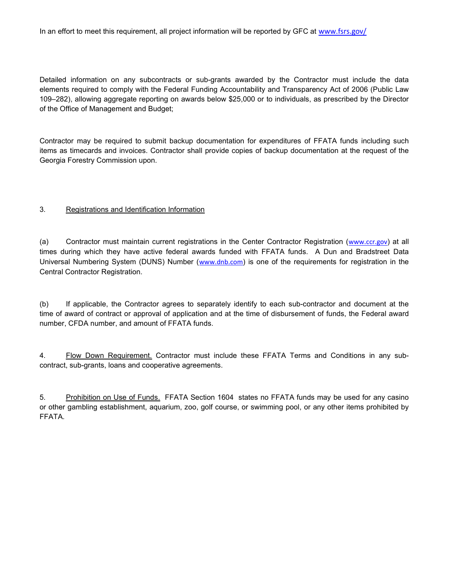Detailed information on any subcontracts or sub-grants awarded by the Contractor must include the data elements required to comply with the Federal Funding Accountability and Transparency Act of 2006 (Public Law 109–282), allowing aggregate reporting on awards below \$25,000 or to individuals, as prescribed by the Director of the Office of Management and Budget;

Contractor may be required to submit backup documentation for expenditures of FFATA funds including such items as timecards and invoices. Contractor shall provide copies of backup documentation at the request of the Georgia Forestry Commission upon.

#### 3. Registrations and Identification Information

(a) Contractor must maintain current registrations in the Center Contractor Registration (www.ccr.gov) at all times during which they have active federal awards funded with FFATA funds. A Dun and Bradstreet Data Universal Numbering System (DUNS) Number (www.dnb.com) is one of the requirements for registration in the Central Contractor Registration.

(b) If applicable, the Contractor agrees to separately identify to each sub-contractor and document at the time of award of contract or approval of application and at the time of disbursement of funds, the Federal award number, CFDA number, and amount of FFATA funds.

4. Flow Down Requirement. Contractor must include these FFATA Terms and Conditions in any subcontract, sub-grants, loans and cooperative agreements.

5. Prohibition on Use of Funds. FFATA Section 1604 states no FFATA funds may be used for any casino or other gambling establishment, aquarium, zoo, golf course, or swimming pool, or any other items prohibited by FFATA.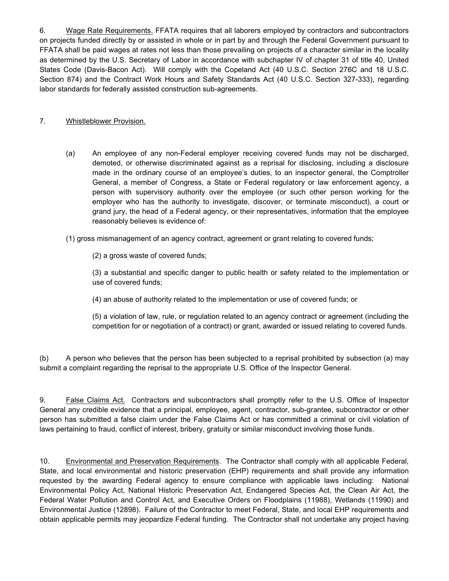6. Wage Rate Requirements. FFATA requires that all laborers employed by contractors and subcontractors on projects funded directly by or assisted in whole or in part by and through the Federal Government pursuant to FFATA shall be paid wages at rates not less than those prevailing on projects of a character similar in the locality as determined by the U.S. Secretary of Labor in accordance with subchapter IV of chapter 31 of title 40, United States Code (Davis-Bacon Act). Will comply with the Copeland Act (40 U.S.C. Section 276C and 18 U.S.C. Section 874) and the Contract Work Hours and Safety Standards Act (40 U.S.C. Section 327-333), regarding labor standards for federally assisted construction sub-agreements.

## 7. Whistleblower Provision.

(a) An employee of any non-Federal employer receiving covered funds may not be discharged, demoted, or otherwise discriminated against as a reprisal for disclosing, including a disclosure made in the ordinary course of an employee's duties, to an inspector general, the Comptroller General, a member of Congress, a State or Federal regulatory or law enforcement agency, a person with supervisory authority over the employee (or such other person working for the employer who has the authority to investigate, discover, or terminate misconduct), a court or grand jury, the head of a Federal agency, or their representatives, information that the employee reasonably believes is evidence of:

(1) gross mismanagement of an agency contract, agreement or grant relating to covered funds;

(2) a gross waste of covered funds;

(3) a substantial and specific danger to public health or safety related to the implementation or use of covered funds;

(4) an abuse of authority related to the implementation or use of covered funds; or

(5) a violation of law, rule, or regulation related to an agency contract or agreement (including the competition for or negotiation of a contract) or grant, awarded or issued relating to covered funds.

(b) A person who believes that the person has been subjected to a reprisal prohibited by subsection (a) may submit a complaint regarding the reprisal to the appropriate U.S. Office of the Inspector General.

9. False Claims Act. Contractors and subcontractors shall promptly refer to the U.S. Office of Inspector General any credible evidence that a principal, employee, agent, contractor, sub-grantee, subcontractor or other person has submitted a false claim under the False Claims Act or has committed a criminal or civil violation of laws pertaining to fraud, conflict of interest, bribery, gratuity or similar misconduct involving those funds.

10. Environmental and Preservation Requirements. The Contractor shall comply with all applicable Federal, State, and local environmental and historic preservation (EHP) requirements and shall provide any information requested by the awarding Federal agency to ensure compliance with applicable laws including: National Environmental Policy Act, National Historic Preservation Act, Endangered Species Act, the Clean Air Act, the Federal Water Pollution and Control Act, and Executive Orders on Floodplains (11988), Wetlands (11990) and Environmental Justice (12898). Failure of the Contractor to meet Federal, State, and local EHP requirements and obtain applicable permits may jeopardize Federal funding. The Contractor shall not undertake any project having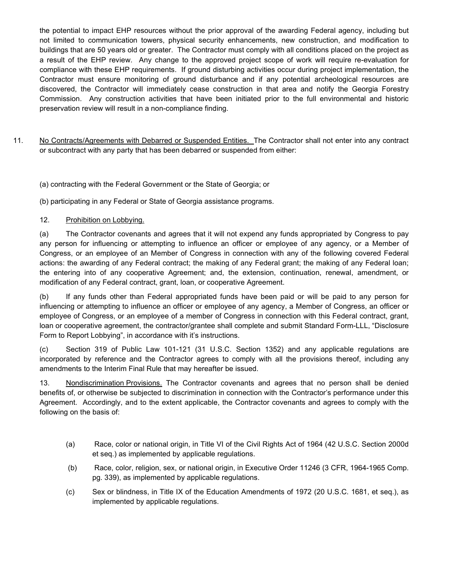the potential to impact EHP resources without the prior approval of the awarding Federal agency, including but not limited to communication towers, physical security enhancements, new construction, and modification to buildings that are 50 years old or greater. The Contractor must comply with all conditions placed on the project as a result of the EHP review. Any change to the approved project scope of work will require re-evaluation for compliance with these EHP requirements. If ground disturbing activities occur during project implementation, the Contractor must ensure monitoring of ground disturbance and if any potential archeological resources are discovered, the Contractor will immediately cease construction in that area and notify the Georgia Forestry Commission. Any construction activities that have been initiated prior to the full environmental and historic preservation review will result in a non-compliance finding.

11. No Contracts/Agreements with Debarred or Suspended Entities. The Contractor shall not enter into any contract or subcontract with any party that has been debarred or suspended from either:

(a) contracting with the Federal Government or the State of Georgia; or

(b) participating in any Federal or State of Georgia assistance programs.

## 12. Prohibition on Lobbying.

(a) The Contractor covenants and agrees that it will not expend any funds appropriated by Congress to pay any person for influencing or attempting to influence an officer or employee of any agency, or a Member of Congress, or an employee of an Member of Congress in connection with any of the following covered Federal actions: the awarding of any Federal contract; the making of any Federal grant; the making of any Federal loan; the entering into of any cooperative Agreement; and, the extension, continuation, renewal, amendment, or modification of any Federal contract, grant, loan, or cooperative Agreement.

(b) If any funds other than Federal appropriated funds have been paid or will be paid to any person for influencing or attempting to influence an officer or employee of any agency, a Member of Congress, an officer or employee of Congress, or an employee of a member of Congress in connection with this Federal contract, grant, loan or cooperative agreement, the contractor/grantee shall complete and submit Standard Form-LLL, "Disclosure Form to Report Lobbying", in accordance with it's instructions.

(c) Section 319 of Public Law 101-121 (31 U.S.C. Section 1352) and any applicable regulations are incorporated by reference and the Contractor agrees to comply with all the provisions thereof, including any amendments to the Interim Final Rule that may hereafter be issued.

13. Nondiscrimination Provisions. The Contractor covenants and agrees that no person shall be denied benefits of, or otherwise be subjected to discrimination in connection with the Contractor's performance under this Agreement. Accordingly, and to the extent applicable, the Contractor covenants and agrees to comply with the following on the basis of:

- (a) Race, color or national origin, in Title VI of the Civil Rights Act of 1964 (42 U.S.C. Section 2000d et seq.) as implemented by applicable regulations.
- (b) Race, color, religion, sex, or national origin, in Executive Order 11246 (3 CFR, 1964-1965 Comp. pg. 339), as implemented by applicable regulations.
- (c) Sex or blindness, in Title IX of the Education Amendments of 1972 (20 U.S.C. 1681, et seq.), as implemented by applicable regulations.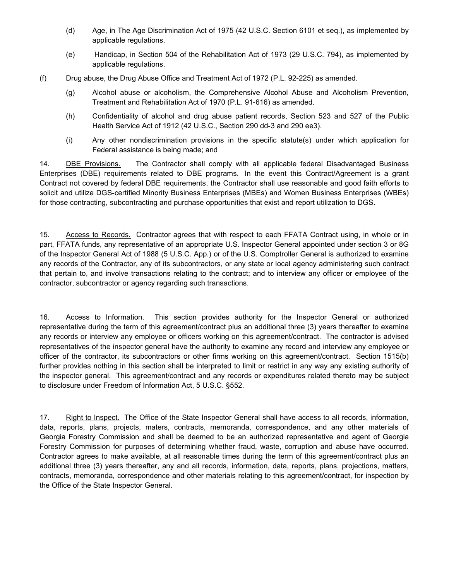- (d) Age, in The Age Discrimination Act of 1975 (42 U.S.C. Section 6101 et seq.), as implemented by applicable regulations.
- (e) Handicap, in Section 504 of the Rehabilitation Act of 1973 (29 U.S.C. 794), as implemented by applicable regulations.
- (f) Drug abuse, the Drug Abuse Office and Treatment Act of 1972 (P.L. 92-225) as amended.
	- (g) Alcohol abuse or alcoholism, the Comprehensive Alcohol Abuse and Alcoholism Prevention, Treatment and Rehabilitation Act of 1970 (P.L. 91-616) as amended.
	- (h) Confidentiality of alcohol and drug abuse patient records, Section 523 and 527 of the Public Health Service Act of 1912 (42 U.S.C., Section 290 dd-3 and 290 ee3).
	- (i) Any other nondiscrimination provisions in the specific statute(s) under which application for Federal assistance is being made; and

14. DBE Provisions. The Contractor shall comply with all applicable federal Disadvantaged Business Enterprises (DBE) requirements related to DBE programs. In the event this Contract/Agreement is a grant Contract not covered by federal DBE requirements, the Contractor shall use reasonable and good faith efforts to solicit and utilize DGS-certified Minority Business Enterprises (MBEs) and Women Business Enterprises (WBEs) for those contracting, subcontracting and purchase opportunities that exist and report utilization to DGS.

15. Access to Records. Contractor agrees that with respect to each FFATA Contract using, in whole or in part, FFATA funds, any representative of an appropriate U.S. Inspector General appointed under section 3 or 8G of the Inspector General Act of 1988 (5 U.S.C. App.) or of the U.S. Comptroller General is authorized to examine any records of the Contractor, any of its subcontractors, or any state or local agency administering such contract that pertain to, and involve transactions relating to the contract; and to interview any officer or employee of the contractor, subcontractor or agency regarding such transactions.

16. Access to Information. This section provides authority for the Inspector General or authorized representative during the term of this agreement/contract plus an additional three (3) years thereafter to examine any records or interview any employee or officers working on this agreement/contract. The contractor is advised representatives of the inspector general have the authority to examine any record and interview any employee or officer of the contractor, its subcontractors or other firms working on this agreement/contract. Section 1515(b) further provides nothing in this section shall be interpreted to limit or restrict in any way any existing authority of the inspector general. This agreement/contract and any records or expenditures related thereto may be subject to disclosure under Freedom of Information Act, 5 U.S.C. §552.

17. Right to Inspect. The Office of the State Inspector General shall have access to all records, information, data, reports, plans, projects, maters, contracts, memoranda, correspondence, and any other materials of Georgia Forestry Commission and shall be deemed to be an authorized representative and agent of Georgia Forestry Commission for purposes of determining whether fraud, waste, corruption and abuse have occurred. Contractor agrees to make available, at all reasonable times during the term of this agreement/contract plus an additional three (3) years thereafter, any and all records, information, data, reports, plans, projections, matters, contracts, memoranda, correspondence and other materials relating to this agreement/contract, for inspection by the Office of the State Inspector General.